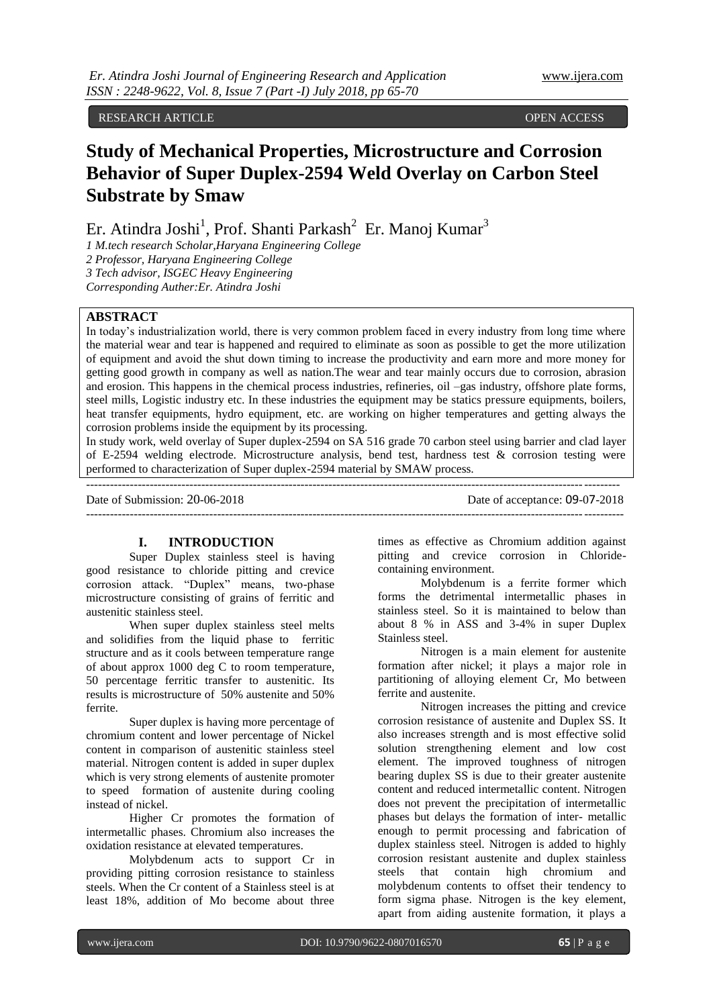# RESEARCH ARTICLE OPEN ACCESS

# **Study of Mechanical Properties, Microstructure and Corrosion Behavior of Super Duplex-2594 Weld Overlay on Carbon Steel Substrate by Smaw**

Er. Atindra Joshi<sup>1</sup>, Prof. Shanti Parkash<sup>2</sup> Er. Manoj Kumar<sup>3</sup>

*1 M.tech research Scholar,Haryana Engineering College 2 Professor, Haryana Engineering College 3 Tech advisor, ISGEC Heavy Engineering Corresponding Auther:Er. Atindra Joshi*

# **ABSTRACT**

In today's industrialization world, there is very common problem faced in every industry from long time where the material wear and tear is happened and required to eliminate as soon as possible to get the more utilization of equipment and avoid the shut down timing to increase the productivity and earn more and more money for getting good growth in company as well as nation.The wear and tear mainly occurs due to corrosion, abrasion and erosion. This happens in the chemical process industries, refineries, oil –gas industry, offshore plate forms, steel mills, Logistic industry etc. In these industries the equipment may be statics pressure equipments, boilers, heat transfer equipments, hydro equipment, etc. are working on higher temperatures and getting always the corrosion problems inside the equipment by its processing.

In study work, weld overlay of Super duplex-2594 on SA 516 grade 70 carbon steel using barrier and clad layer of E-2594 welding electrode. Microstructure analysis, bend test, hardness test & corrosion testing were performed to characterization of Super duplex-2594 material by SMAW process.

--------------------------------------------------------------------------------------------------------------------------------------

---------------------------------------------------------------------------------------------------------------------------------------

Date of Submission: 20-06-2018 Date of acceptance: 09-07-2018

# **I. INTRODUCTION**

Super Duplex stainless steel is having good resistance to chloride pitting and crevice corrosion attack. "Duplex" means, two-phase microstructure consisting of grains of ferritic and austenitic stainless steel.

When super duplex stainless steel melts and solidifies from the liquid phase to ferritic structure and as it cools between temperature range of about approx 1000 deg C to room temperature, 50 percentage ferritic transfer to austenitic. Its results is microstructure of 50% austenite and 50% ferrite.

Super duplex is having more percentage of chromium content and lower percentage of Nickel content in comparison of austenitic stainless steel material. Nitrogen content is added in super duplex which is very strong elements of austenite promoter to speed formation of austenite during cooling instead of nickel.

Higher Cr promotes the formation of intermetallic phases. Chromium also increases the oxidation resistance at elevated temperatures.

Molybdenum acts to support Cr in providing pitting corrosion resistance to stainless steels. When the Cr content of a Stainless steel is at least 18%, addition of Mo become about three

times as effective as Chromium addition against pitting and crevice corrosion in Chloridecontaining environment.

Molybdenum is a ferrite former which forms the detrimental intermetallic phases in stainless steel. So it is maintained to below than about 8 % in ASS and 3-4% in super Duplex Stainless steel.

Nitrogen is a main element for austenite formation after nickel; it plays a major role in partitioning of alloying element Cr, Mo between ferrite and austenite.

Nitrogen increases the pitting and crevice corrosion resistance of austenite and Duplex SS. It also increases strength and is most effective solid solution strengthening element and low cost element. The improved toughness of nitrogen bearing duplex SS is due to their greater austenite content and reduced intermetallic content. Nitrogen does not prevent the precipitation of intermetallic phases but delays the formation of inter- metallic enough to permit processing and fabrication of duplex stainless steel. Nitrogen is added to highly corrosion resistant austenite and duplex stainless steels that contain high chromium and molybdenum contents to offset their tendency to form sigma phase. Nitrogen is the key element, apart from aiding austenite formation, it plays a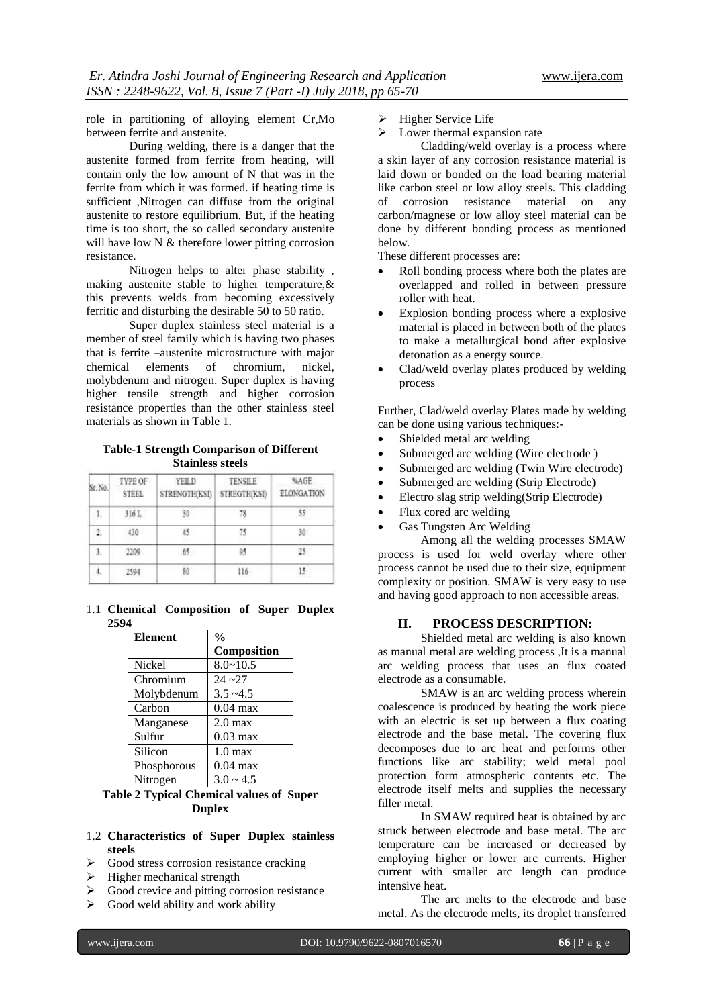role in partitioning of alloying element Cr,Mo between ferrite and austenite.

During welding, there is a danger that the austenite formed from ferrite from heating, will contain only the low amount of N that was in the ferrite from which it was formed. if heating time is sufficient ,Nitrogen can diffuse from the original austenite to restore equilibrium. But, if the heating time is too short, the so called secondary austenite will have low N & therefore lower pitting corrosion resistance.

Nitrogen helps to alter phase stability , making austenite stable to higher temperature,& this prevents welds from becoming excessively ferritic and disturbing the desirable 50 to 50 ratio.

Super duplex stainless steel material is a member of steel family which is having two phases that is ferrite –austenite microstructure with major chemical elements of chromium, nickel, molybdenum and nitrogen. Super duplex is having higher tensile strength and higher corrosion resistance properties than the other stainless steel materials as shown in Table 1.

# **Table-1 Strength Comparison of Different Stainless steels**

| Sr.No. | TYPE OF<br><b>STEEL</b> | YEILD<br>STRENGTH(KSI) | <b>TENSILE</b><br>STREGTH(KSI) | %AGE<br>ELONGATION |
|--------|-------------------------|------------------------|--------------------------------|--------------------|
| ī.     | 316L                    | 30                     | 78                             |                    |
| Ż.     | 430                     | 45                     | 75                             | 30                 |
| 3.     | 2209                    | $65 -$                 | 95                             |                    |
|        | 2594                    | 80                     | $116 -$                        |                    |

1.1 **Chemical Composition of Super Duplex 2594**

| <b>Element</b> | $\frac{0}{0}$      |
|----------------|--------------------|
|                | Composition        |
| Nickel         | $8.0 - 10.5$       |
| Chromium       | $24 - 27$          |
| Molybdenum     | $3.5 - 4.5$        |
| Carbon         | $0.04$ max         |
| Manganese      | $2.0 \text{ max}$  |
| Sulfur         | $0.03 \text{ max}$ |
| Silicon        | $1.0 \text{ max}$  |
| Phosphorous    | $0.04$ max         |
| Nitrogen       | $3.0 \approx 4.5$  |

# **Table 2 Typical Chemical values of Super Duplex**

# 1.2 **Characteristics of Super Duplex stainless steels**

- $\triangleright$  Good stress corrosion resistance cracking
- $\triangleright$  Higher mechanical strength
- $\triangleright$  Good crevice and pitting corrosion resistance
- $\triangleright$  Good weld ability and work ability
- $\triangleright$  Higher Service Life
- $\triangleright$  Lower thermal expansion rate

Cladding/weld overlay is a process where a skin layer of any corrosion resistance material is laid down or bonded on the load bearing material like carbon steel or low alloy steels. This cladding of corrosion resistance material on any carbon/magnese or low alloy steel material can be done by different bonding process as mentioned below.

These different processes are:

- Roll bonding process where both the plates are overlapped and rolled in between pressure roller with heat.
- Explosion bonding process where a explosive material is placed in between both of the plates to make a metallurgical bond after explosive detonation as a energy source.
- Clad/weld overlay plates produced by welding process

Further, Clad/weld overlay Plates made by welding can be done using various techniques:-

- Shielded metal arc welding
- Submerged arc welding (Wire electrode )
- Submerged arc welding (Twin Wire electrode)
- Submerged arc welding (Strip Electrode)
- Electro slag strip welding(Strip Electrode)
- Flux cored arc welding
- Gas Tungsten Arc Welding

Among all the welding processes SMAW process is used for weld overlay where other process cannot be used due to their size, equipment complexity or position. SMAW is very easy to use and having good approach to non accessible areas.

# **II. PROCESS DESCRIPTION:**

Shielded metal arc welding is also known as manual metal are welding process ,It is a manual [arc welding](https://en.wikipedia.org/wiki/Arc_welding) process that uses an flux coated [electrode](https://en.wikipedia.org/wiki/Electrode) as a consumable.

SMAW is an arc welding process wherein coalescence is produced by heating the work piece with an electric is set up between a flux coating electrode and the base metal. The covering flux decomposes due to arc heat and performs other functions like arc stability; weld metal pool protection form atmospheric contents etc. The electrode itself melts and supplies the necessary filler metal.

In SMAW required heat is obtained by arc struck between electrode and base metal. The arc temperature can be increased or decreased by employing higher or lower arc currents. Higher current with smaller arc length can produce intensive heat.

The arc melts to the electrode and base metal. As the electrode melts, its droplet transferred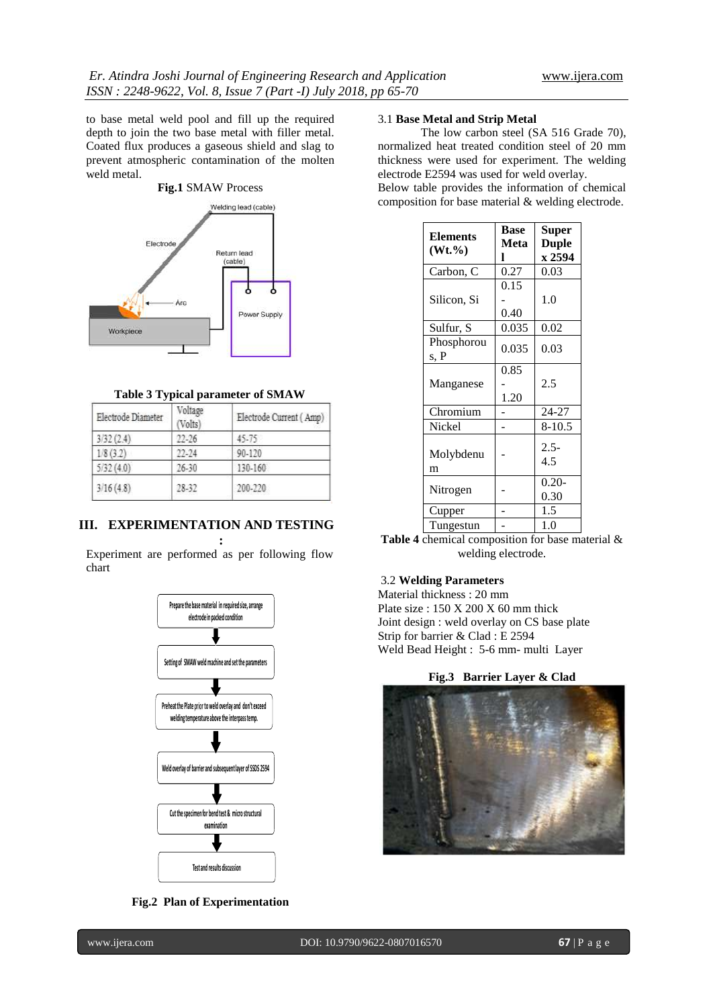to base metal weld pool and fill up the required depth to join the two base metal with filler metal. Coated flux produces a gaseous shield and slag to prevent atmospheric contamination of the molten weld metal.



# **Table 3 Typical parameter of SMAW**

| Electrode Diameter | Voltage<br>(Volts) | Electrode Current (Amp) |
|--------------------|--------------------|-------------------------|
| 3/32(2.4)          | $22 - 26$          | 45.75                   |
| 1/8(3.2)           | $22 - 24$          | 90-120                  |
| 5/32(4.0)          | $26 - 30$          | 130-160                 |
| 3/16(4.8)          | 28-32              | 200-220                 |

# **III. EXPERIMENTATION AND TESTING**

**:** Experiment are performed as per following flow chart



**Fig.2 Plan of Experimentation**

# 3.1 **Base Metal and Strip Metal**

The low carbon steel (SA 516 Grade 70), normalized heat treated condition steel of 20 mm thickness were used for experiment. The welding electrode E2594 was used for weld overlay.

Below table provides the information of chemical composition for base material & welding electrode.

| <b>Elements</b> | <b>Base</b> | <b>Super</b> |  |
|-----------------|-------------|--------------|--|
| $(Wt. \% )$     | Meta        | <b>Duple</b> |  |
|                 | ı           | x 2594       |  |
| Carbon, C       | 0.27        | 0.03         |  |
|                 | 0.15        |              |  |
| Silicon, Si     |             | 1.0          |  |
|                 | 0.40        |              |  |
| Sulfur, S       | 0.035       | 0.02         |  |
| Phosphorou      | 0.035       | 0.03         |  |
| s, P            |             |              |  |
|                 | 0.85        |              |  |
| Manganese       |             | 2.5          |  |
|                 | 1.20        |              |  |
| Chromium        |             | 24-27        |  |
| Nickel          |             | $8 - 10.5$   |  |
|                 |             | $2.5 -$      |  |
| Molybdenu       |             | 4.5          |  |
| m               |             |              |  |
| Nitrogen        |             | $0.20 -$     |  |
|                 |             | 0.30         |  |
| Cupper          |             | 1.5          |  |
| Tungestun       |             | 1.0          |  |

**Table 4** chemical composition for base material & welding electrode.

# 3.2 **Welding Parameters**

Material thickness : 20 mm Plate size : 150 X 200 X 60 mm thick Joint design : weld overlay on CS base plate Strip for barrier & Clad : E 2594 Weld Bead Height : 5-6 mm- multi Layer

### **Fig.3 Barrier Layer & Clad**

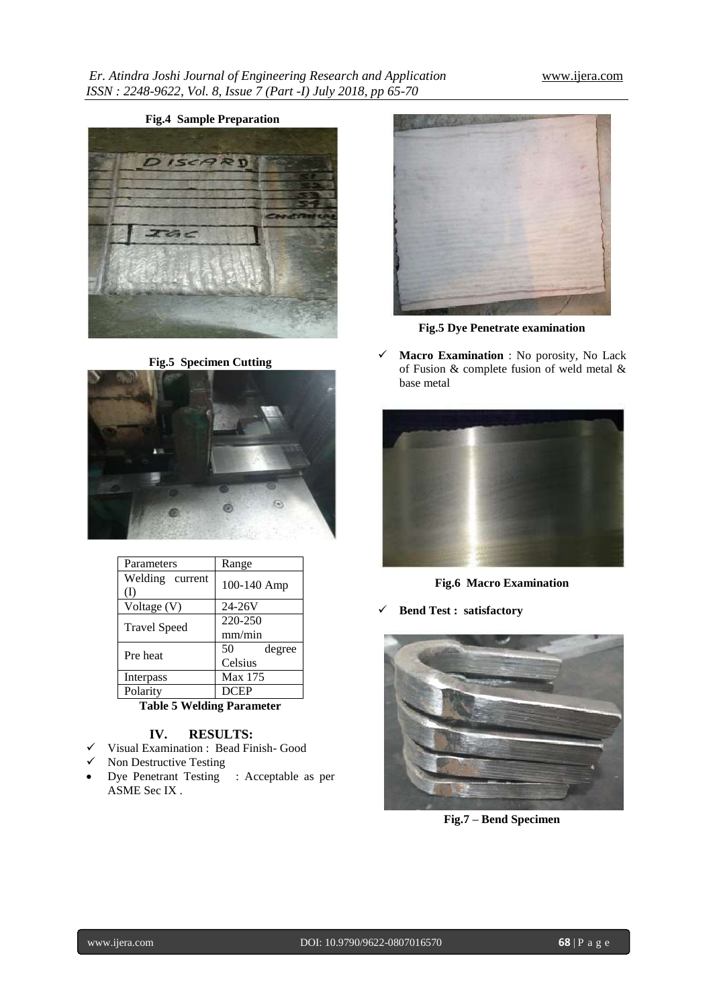# **Fig.4 Sample Preparation** DISCARD

**Fig.5 Specimen Cutting**



| Parameters             | Range        |  |  |
|------------------------|--------------|--|--|
| Welding current<br>(1) | 100-140 Amp  |  |  |
| Voltage (V)            | $24 - 26V$   |  |  |
| <b>Travel Speed</b>    | 220-250      |  |  |
|                        | mm/min       |  |  |
| Pre heat               | 50<br>degree |  |  |
|                        | Celsius      |  |  |
| Interpass              | Max 175      |  |  |
| Polarity               | <b>DCEP</b>  |  |  |

**Table 5 Welding Parameter**

# **IV. RESULTS:**

- Visual Examination : Bead Finish- Good
- $\checkmark$  Non Destructive Testing
- Dye Penetrant Testing : Acceptable as per ASME Sec IX .



**Fig.5 Dye Penetrate examination**

 **Macro Examination** : No porosity, No Lack of Fusion & complete fusion of weld metal & base metal



**Fig.6 Macro Examination**

**Bend Test : satisfactory** 



**Fig.7 – Bend Specimen**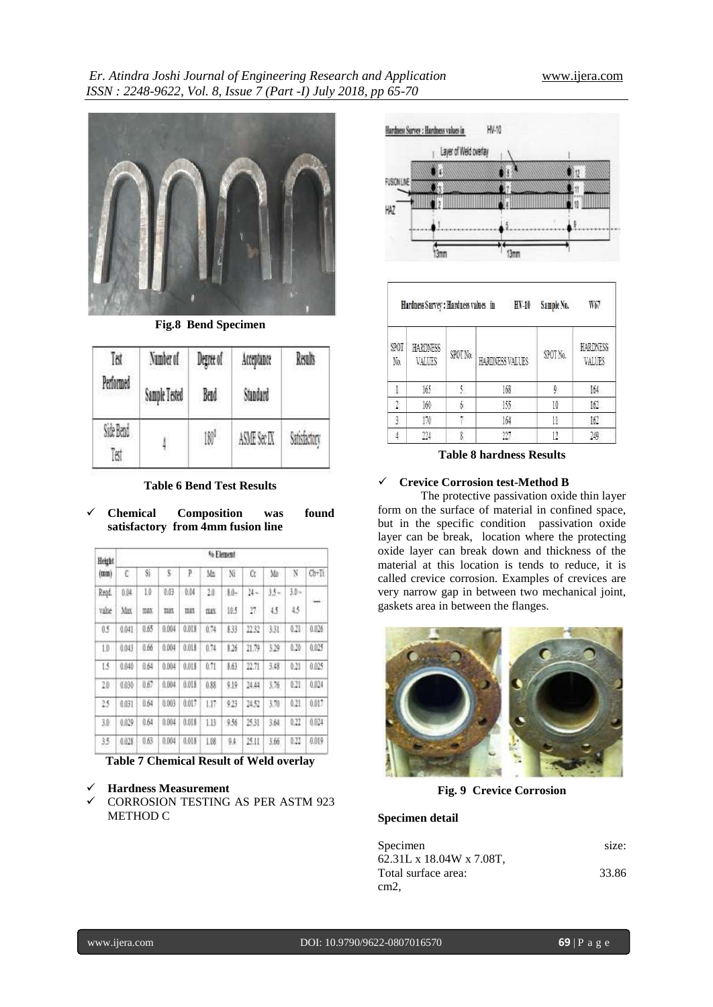

**Fig.8 Bend Specimen**

| Īõt              | Number of     | Degree of | Acceptance  | Recolt         |
|------------------|---------------|-----------|-------------|----------------|
| Performed        | Sample Tested | Bend      | Standard    |                |
| Side Bend<br>Ĩst | 4             | 180       | ASME Sec IX | <b>Valista</b> |

**Table 6 Bend Test Results**

# **Chemical Composition was found satisfactory from 4mm fusion line**

| Height<br>(mm) | % Element |            |       |        |           |        |       |                |              |       |
|----------------|-----------|------------|-------|--------|-----------|--------|-------|----------------|--------------|-------|
|                | c         | Si         | s.    | P      | Mn        | N      | Ŭ     | Mo             | N            | OHTI  |
| Repd.          | 0.04      | $1\bar{a}$ | 0.03  | - 0.04 | $10^{-5}$ | $-10-$ | 14-   | $35 -$         | $30 -$       |       |
| value          | Max       | TEM.       | max   | max    | 皿红        | 10.5   | 17    | 4.5            | $15^{\circ}$ |       |
| $05 -$         | 0.041     | 0.65       | 0.004 | OOLT   | 0.74      | \$33   | 21.32 | 331            | 621          | 0.026 |
| L0             | 0.043     | 0.66       | 0.004 | 0.018  | 0.74      | 1.36   | 21.79 | 329            | 628          | 0.025 |
| 13             | 0.040     | 0.64       | 0.004 | 0.018  | 0.71      | 163    | 22.71 | 3.48           | 0.21         | 0.025 |
| 20             | 0.030     | 0.67       | 0.004 | 0.018  | 0.88      | 免換     | 24.44 | 3.76           | 621          | 0.024 |
| 23             | 0.031     | 0.64       | 0.003 | 0.017  | 1.17      | 9.23   | 14.52 | $3.70^{\circ}$ | 0.21         | 0.017 |
| 3.0            | 0.029     | 0.64       | 0.004 | 0.018  | 113       | 9.56   | 25.31 | 3.64           | 0.22         | 0.024 |
| 恏              | 0.028     | 0.63       | 0.004 | 0.018  | 18        | 9.4.   | 25.11 | 3.66           | 822          | 0.019 |

**Table 7 Chemical Result of Weld overlay**

# **Hardness Measurement**

 CORROSION TESTING AS PER ASTM 923 METHOD C



| Hardness Survey : Hardness values in<br>HVI<br>W67<br>Sample No. |                           |                      |                 |                    |                    |  |
|------------------------------------------------------------------|---------------------------|----------------------|-----------------|--------------------|--------------------|--|
| SMI<br>Ni.                                                       | <b>HARDNESS</b><br>VALUES | SPOT <sub>N</sub> a. | HARDNESS VALUES | SPOT <sub>Na</sub> | HARDNESS<br>VALUES |  |
|                                                                  | 165                       |                      | 166             | ÿ                  | 围                  |  |
|                                                                  | 160                       |                      | 155             | 10                 | $\frac{1}{2}$      |  |
|                                                                  | 170                       |                      | 164             |                    | 167                |  |
|                                                                  |                           |                      | YŻ,             |                    | 140                |  |

**Table 8 hardness Results**

# **Crevice Corrosion test-Method B**

The protective passivation oxide thin layer form on the surface of material in confined space, but in the specific condition passivation oxide layer can be break, location where the protecting oxide layer can break down and thickness of the material at this location is tends to reduce, it is called crevice corrosion. Examples of crevices are very narrow gap in between two mechanical joint, gaskets area in between the flanges.



**Fig. 9 Crevice Corrosion**

# **Specimen detail**

| Specimen                 | size: |
|--------------------------|-------|
| 62.31L x 18.04W x 7.08T, |       |
| Total surface area:      | 33.86 |
| cm2.                     |       |